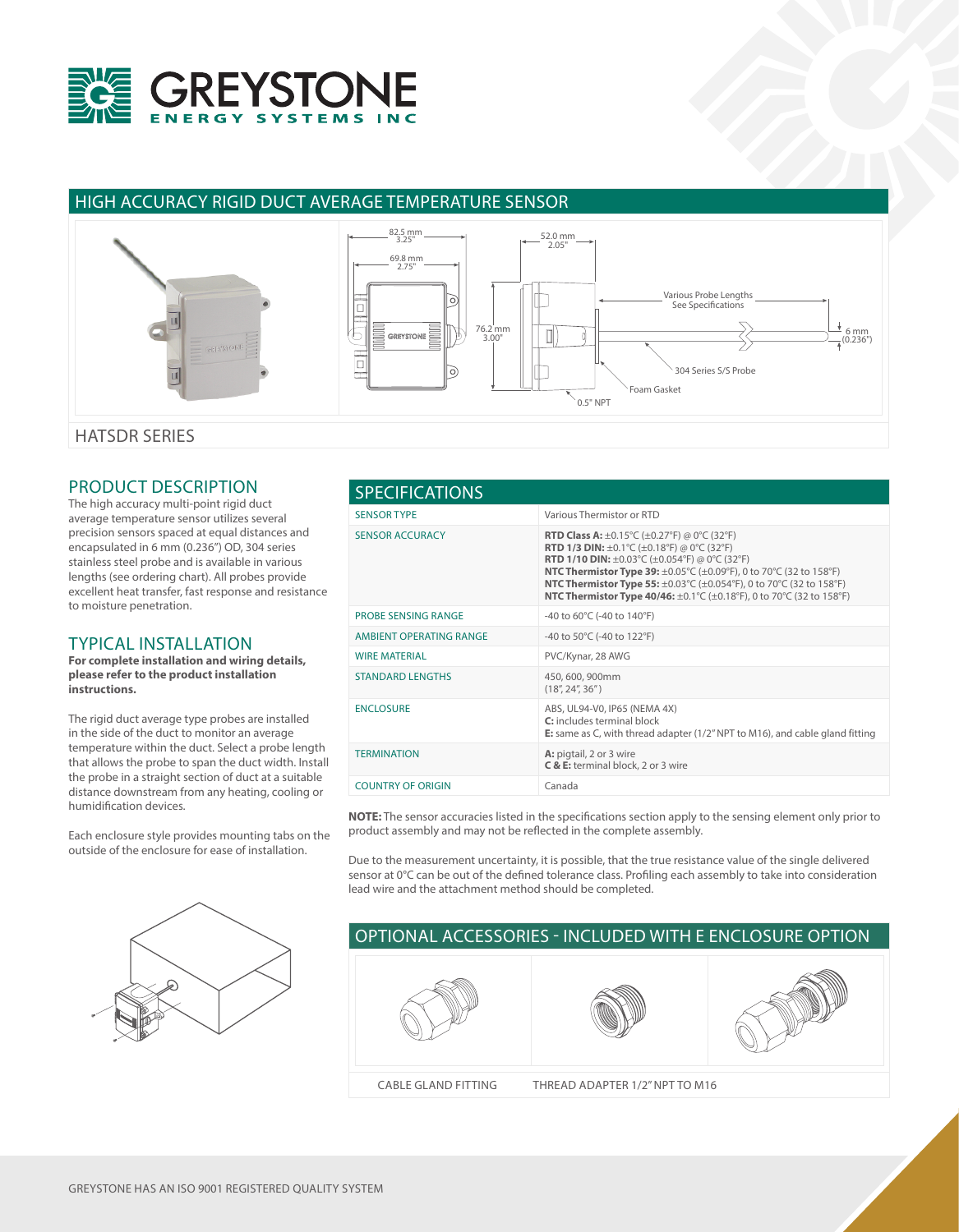

## HIGH ACCURACY RIGID DUCT AVERAGE TEMPERATURE SENSOR



HATSDR SERIES

## PRODUCT DESCRIPTION

The high accuracy multi-point rigid duct average temperature sensor utilizes several precision sensors spaced at equal distances and encapsulated in 6 mm (0.236") OD, 304 series stainless steel probe and is available in various lengths (see ordering chart). All probes provide excellent heat transfer, fast response and resistance to moisture penetration.

## TYPICAL INSTALLATION

**For complete installation and wiring details, please refer to the product installation instructions.**

The rigid duct average type probes are installed in the side of the duct to monitor an average temperature within the duct. Select a probe length that allows the probe to span the duct width. Install the probe in a straight section of duct at a suitable distance downstream from any heating, cooling or humidification devices.

Each enclosure style provides mounting tabs on the outside of the enclosure for ease of installation.



| <b>SPECIFICATIONS</b>      |                                                                                                                                                                                                                                                                                                                                                                                                                                                                                                                                                                           |  |  |  |  |
|----------------------------|---------------------------------------------------------------------------------------------------------------------------------------------------------------------------------------------------------------------------------------------------------------------------------------------------------------------------------------------------------------------------------------------------------------------------------------------------------------------------------------------------------------------------------------------------------------------------|--|--|--|--|
| <b>SENSOR TYPE</b>         | Various Thermistor or RTD                                                                                                                                                                                                                                                                                                                                                                                                                                                                                                                                                 |  |  |  |  |
| <b>SENSOR ACCURACY</b>     | <b>RTD Class A:</b> $\pm$ 0.15°C ( $\pm$ 0.27°F) @ 0°C (32°F)<br><b>RTD 1/3 DIN:</b> $\pm 0.1^{\circ}$ C ( $\pm 0.18^{\circ}$ F) @ 0°C (32°F)<br><b>RTD 1/10 DIN:</b> $\pm 0.03^{\circ}$ C ( $\pm 0.054^{\circ}$ F) @ 0°C (32°F)<br><b>NTC Thermistor Type 39:</b> $\pm 0.05^{\circ}$ C ( $\pm 0.09^{\circ}$ F), 0 to 70 <sup>o</sup> C (32 to 158 <sup>o</sup> F)<br><b>NTC Thermistor Type 55:</b> $\pm 0.03^{\circ}$ C ( $\pm 0.054^{\circ}$ F), 0 to 70 $^{\circ}$ C (32 to 158 $^{\circ}$ F)<br>NTC Thermistor Type 40/46: ±0.1°C (±0.18°F), 0 to 70°C (32 to 158°F) |  |  |  |  |
| <b>PROBE SENSING RANGE</b> | -40 to $60^{\circ}$ C (-40 to 140 $^{\circ}$ F)                                                                                                                                                                                                                                                                                                                                                                                                                                                                                                                           |  |  |  |  |
| AMBIENT OPERATING RANGE    | -40 to 50°C (-40 to 122°F)                                                                                                                                                                                                                                                                                                                                                                                                                                                                                                                                                |  |  |  |  |
| <b>WIRE MATERIAL</b>       | PVC/Kynar, 28 AWG                                                                                                                                                                                                                                                                                                                                                                                                                                                                                                                                                         |  |  |  |  |
| <b>STANDARD LENGTHS</b>    | 450, 600, 900mm<br>(18", 24", 36")                                                                                                                                                                                                                                                                                                                                                                                                                                                                                                                                        |  |  |  |  |
| <b>ENCLOSURE</b>           | ABS, UL94-V0, IP65 (NEMA 4X)<br>C: includes terminal block<br><b>E:</b> same as C, with thread adapter $(1/2n NPT$ to M16), and cable gland fitting                                                                                                                                                                                                                                                                                                                                                                                                                       |  |  |  |  |
| <b>TERMINATION</b>         | A: pigtail, 2 or 3 wire<br>C & E: terminal block, 2 or 3 wire                                                                                                                                                                                                                                                                                                                                                                                                                                                                                                             |  |  |  |  |
| <b>COUNTRY OF ORIGIN</b>   | Canada                                                                                                                                                                                                                                                                                                                                                                                                                                                                                                                                                                    |  |  |  |  |

**NOTE:** The sensor accuracies listed in the specifications section apply to the sensing element only prior to product assembly and may not be reflected in the complete assembly.

Due to the measurement uncertainty, it is possible, that the true resistance value of the single delivered sensor at 0°C can be out of the defined tolerance class. Profiling each assembly to take into consideration lead wire and the attachment method should be completed.

## OPTIONAL ACCESSORIES - INCLUDED WITH E ENCLOSURE OPTION